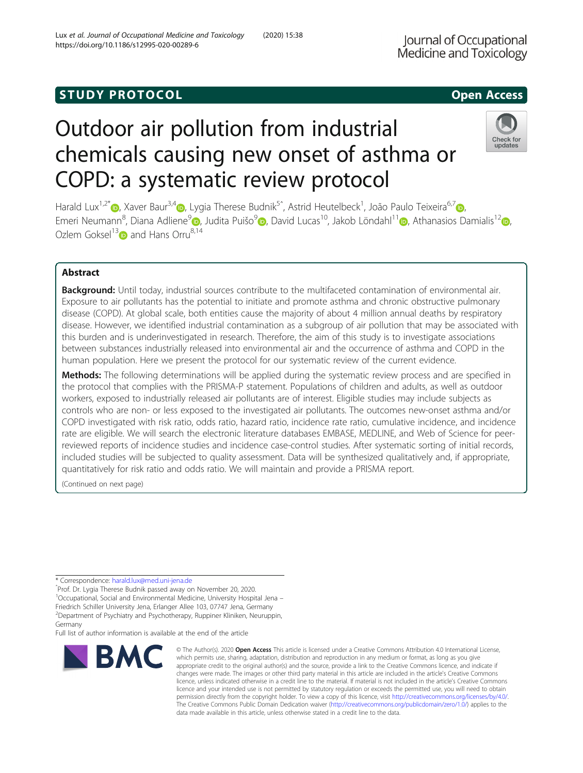# **STUDY PROTOCOL** And the set of the set of the set of the set of the set of the set of the set of the set of the set of the set of the set of the set of the set of the set of the set of the set of the set of the set of the

# Outdoor air pollution from industrial chemicals causing new onset of asthma or COPD: a systematic review protocol

Harald Lux<sup>1[,](https://orcid.org/0000-0001-8693-5250)2\*</sup>៊®, Xaver Baur<sup>3,[4](https://orcid.org/0000-0003-1880-1220)</sup>៊®, Lygia Therese Budnik<sup>5</sup>ˆ, Astrid Heutelbeck<sup>1</sup>, João Paulo Teixeira<sup>6,7</sup>៊®, Emeri Neumann<sup>8</sup>[,](https://orcid.org/0000-0001-9379-592X) Diana Adliene<sup>[9](https://orcid.org/0000-0002-8472-5521)</sup> , Judita Puišo<sup>9</sup> , David Lucas<sup>10</sup>, Jakob Löndahl<sup>11</sup> , Athanasios Damialis<sup>1[2](https://orcid.org/0000-0003-2917-5667)</sup> , Ozlem Goksel<sup>1[3](https://orcid.org/0000-0003-1121-9967)</sup> and Hans Orru<sup>8,14</sup>

# Abstract

Background: Until today, industrial sources contribute to the multifaceted contamination of environmental air. Exposure to air pollutants has the potential to initiate and promote asthma and chronic obstructive pulmonary disease (COPD). At global scale, both entities cause the majority of about 4 million annual deaths by respiratory disease. However, we identified industrial contamination as a subgroup of air pollution that may be associated with this burden and is underinvestigated in research. Therefore, the aim of this study is to investigate associations between substances industrially released into environmental air and the occurrence of asthma and COPD in the human population. Here we present the protocol for our systematic review of the current evidence.

Methods: The following determinations will be applied during the systematic review process and are specified in the protocol that complies with the PRISMA-P statement. Populations of children and adults, as well as outdoor workers, exposed to industrially released air pollutants are of interest. Eligible studies may include subjects as controls who are non- or less exposed to the investigated air pollutants. The outcomes new-onset asthma and/or COPD investigated with risk ratio, odds ratio, hazard ratio, incidence rate ratio, cumulative incidence, and incidence rate are eligible. We will search the electronic literature databases EMBASE, MEDLINE, and Web of Science for peerreviewed reports of incidence studies and incidence case-control studies. After systematic sorting of initial records, included studies will be subjected to quality assessment. Data will be synthesized qualitatively and, if appropriate, quantitatively for risk ratio and odds ratio. We will maintain and provide a PRISMA report.

(Continued on next page)

BMC

\* Correspondence: [harald.lux@med.uni-jena.de](mailto:harald.lux@med.uni-jena.de) <sup>ˆ</sup>Prof. Dr. Lygia Therese Budnik passed away on November 20, 2020. <sup>1</sup>Occupational, Social and Environmental Medicine, University Hospital Jena -

Friedrich Schiller University Jena, Erlanger Allee 103, 07747 Jena, Germany 2 Department of Psychiatry and Psychotherapy, Ruppiner Kliniken, Neuruppin, Germany

Full list of author information is available at the end of the article

#### © The Author(s), 2020 **Open Access** This article is licensed under a Creative Commons Attribution 4.0 International License, which permits use, sharing, adaptation, distribution and reproduction in any medium or format, as long as you give appropriate credit to the original author(s) and the source, provide a link to the Creative Commons licence, and indicate if changes were made. The images or other third party material in this article are included in the article's Creative Commons licence, unless indicated otherwise in a credit line to the material. If material is not included in the article's Creative Commons licence and your intended use is not permitted by statutory regulation or exceeds the permitted use, you will need to obtain permission directly from the copyright holder. To view a copy of this licence, visit [http://creativecommons.org/licenses/by/4.0/.](http://creativecommons.org/licenses/by/4.0/) The Creative Commons Public Domain Dedication waiver [\(http://creativecommons.org/publicdomain/zero/1.0/](http://creativecommons.org/publicdomain/zero/1.0/)) applies to the data made available in this article, unless otherwise stated in a credit line to the data.



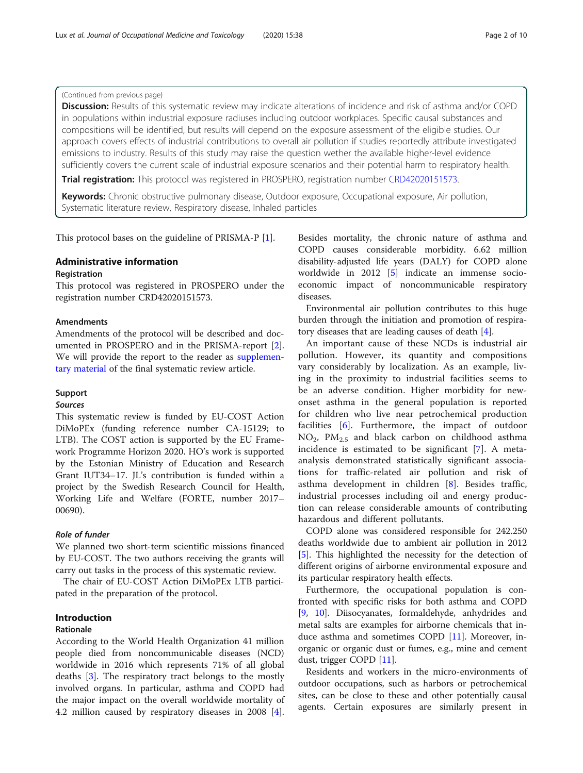# (Continued from previous page)

Discussion: Results of this systematic review may indicate alterations of incidence and risk of asthma and/or COPD in populations within industrial exposure radiuses including outdoor workplaces. Specific causal substances and compositions will be identified, but results will depend on the exposure assessment of the eligible studies. Our approach covers effects of industrial contributions to overall air pollution if studies reportedly attribute investigated emissions to industry. Results of this study may raise the question wether the available higher-level evidence sufficiently covers the current scale of industrial exposure scenarios and their potential harm to respiratory health.

Trial registration: This protocol was registered in PROSPERO, registration number [CRD42020151573](https://www.crd.york.ac.uk/prospero/display_record.php?RecordID=151573).

Keywords: Chronic obstructive pulmonary disease, Outdoor exposure, Occupational exposure, Air pollution, Systematic literature review, Respiratory disease, Inhaled particles

This protocol bases on the guideline of PRISMA-P [[1\]](#page-8-0).

# Administrative information

# **Registration**

This protocol was registered in PROSPERO under the registration number CRD42020151573.

#### Amendments

Amendments of the protocol will be described and documented in PROSPERO and in the PRISMA-report [\[2](#page-8-0)]. We will provide the report to the reader as [supplemen](#page-8-0)[tary material](#page-8-0) of the final systematic review article.

# Support

# Sources

This systematic review is funded by EU-COST Action DiMoPEx (funding reference number CA-15129; to LTB). The COST action is supported by the EU Framework Programme Horizon 2020. HO's work is supported by the Estonian Ministry of Education and Research Grant IUT34–17. JL's contribution is funded within a project by the Swedish Research Council for Health, Working Life and Welfare (FORTE, number 2017– 00690).

# Role of funder

We planned two short-term scientific missions financed by EU-COST. The two authors receiving the grants will carry out tasks in the process of this systematic review.

The chair of EU-COST Action DiMoPEx LTB participated in the preparation of the protocol.

# Introduction

# Rationale

According to the World Health Organization 41 million people died from noncommunicable diseases (NCD) worldwide in 2016 which represents 71% of all global deaths [[3](#page-8-0)]. The respiratory tract belongs to the mostly involved organs. In particular, asthma and COPD had the major impact on the overall worldwide mortality of 4.2 million caused by respiratory diseases in 2008 [\[4](#page-8-0)].

Besides mortality, the chronic nature of asthma and COPD causes considerable morbidity. 6.62 million disability-adjusted life years (DALY) for COPD alone worldwide in 2012 [[5\]](#page-8-0) indicate an immense socioeconomic impact of noncommunicable respiratory diseases.

Environmental air pollution contributes to this huge burden through the initiation and promotion of respiratory diseases that are leading causes of death [\[4](#page-8-0)].

An important cause of these NCDs is industrial air pollution. However, its quantity and compositions vary considerably by localization. As an example, living in the proximity to industrial facilities seems to be an adverse condition. Higher morbidity for newonset asthma in the general population is reported for children who live near petrochemical production facilities [[6](#page-8-0)]. Furthermore, the impact of outdoor  $NO<sub>2</sub>$ ,  $PM<sub>2.5</sub>$  and black carbon on childhood asthma incidence is estimated to be significant [\[7](#page-8-0)]. A metaanalysis demonstrated statistically significant associations for traffic-related air pollution and risk of asthma development in children [\[8](#page-8-0)]. Besides traffic, industrial processes including oil and energy production can release considerable amounts of contributing hazardous and different pollutants.

COPD alone was considered responsible for 242.250 deaths worldwide due to ambient air pollution in 2012 [[5\]](#page-8-0). This highlighted the necessity for the detection of different origins of airborne environmental exposure and its particular respiratory health effects.

Furthermore, the occupational population is confronted with specific risks for both asthma and COPD [[9,](#page-8-0) [10](#page-8-0)]. Diisocyanates, formaldehyde, anhydrides and metal salts are examples for airborne chemicals that induce asthma and sometimes COPD [[11\]](#page-9-0). Moreover, inorganic or organic dust or fumes, e.g., mine and cement dust, trigger COPD [\[11](#page-9-0)].

Residents and workers in the micro-environments of outdoor occupations, such as harbors or petrochemical sites, can be close to these and other potentially causal agents. Certain exposures are similarly present in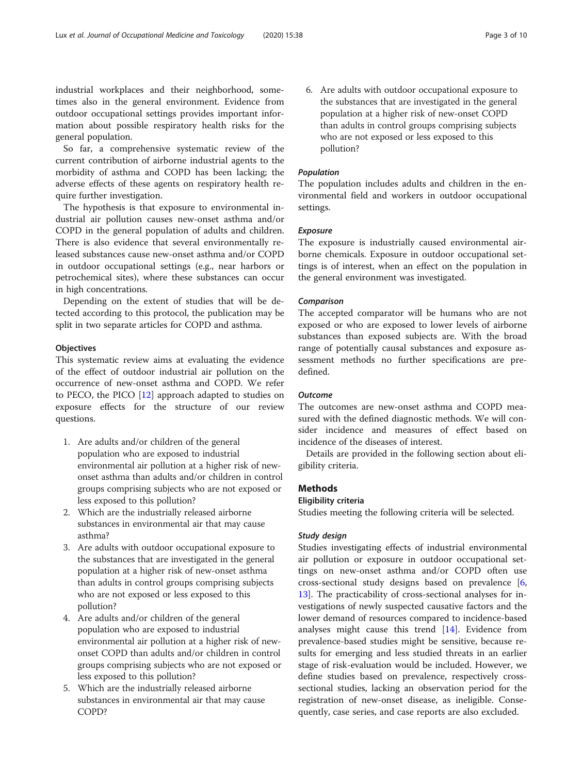industrial workplaces and their neighborhood, sometimes also in the general environment. Evidence from outdoor occupational settings provides important information about possible respiratory health risks for the general population.

So far, a comprehensive systematic review of the current contribution of airborne industrial agents to the morbidity of asthma and COPD has been lacking; the adverse effects of these agents on respiratory health require further investigation.

The hypothesis is that exposure to environmental industrial air pollution causes new-onset asthma and/or COPD in the general population of adults and children. There is also evidence that several environmentally released substances cause new-onset asthma and/or COPD in outdoor occupational settings (e.g., near harbors or petrochemical sites), where these substances can occur in high concentrations.

Depending on the extent of studies that will be detected according to this protocol, the publication may be split in two separate articles for COPD and asthma.

# **Objectives**

This systematic review aims at evaluating the evidence of the effect of outdoor industrial air pollution on the occurrence of new-onset asthma and COPD. We refer to PECO, the PICO [[12](#page-9-0)] approach adapted to studies on exposure effects for the structure of our review questions.

- 1. Are adults and/or children of the general population who are exposed to industrial environmental air pollution at a higher risk of newonset asthma than adults and/or children in control groups comprising subjects who are not exposed or less exposed to this pollution?
- 2. Which are the industrially released airborne substances in environmental air that may cause asthma?
- 3. Are adults with outdoor occupational exposure to the substances that are investigated in the general population at a higher risk of new-onset asthma than adults in control groups comprising subjects who are not exposed or less exposed to this pollution?
- 4. Are adults and/or children of the general population who are exposed to industrial environmental air pollution at a higher risk of newonset COPD than adults and/or children in control groups comprising subjects who are not exposed or less exposed to this pollution?
- 5. Which are the industrially released airborne substances in environmental air that may cause COPD?

6. Are adults with outdoor occupational exposure to the substances that are investigated in the general population at a higher risk of new-onset COPD than adults in control groups comprising subjects who are not exposed or less exposed to this pollution?

# Population

The population includes adults and children in the environmental field and workers in outdoor occupational settings.

#### Exposure

The exposure is industrially caused environmental airborne chemicals. Exposure in outdoor occupational settings is of interest, when an effect on the population in the general environment was investigated.

#### Comparison

The accepted comparator will be humans who are not exposed or who are exposed to lower levels of airborne substances than exposed subjects are. With the broad range of potentially causal substances and exposure assessment methods no further specifications are predefined.

# **Outcome**

The outcomes are new-onset asthma and COPD measured with the defined diagnostic methods. We will consider incidence and measures of effect based on incidence of the diseases of interest.

Details are provided in the following section about eligibility criteria.

# Methods

#### Eligibility criteria

Studies meeting the following criteria will be selected.

#### Study design

Studies investigating effects of industrial environmental air pollution or exposure in outdoor occupational settings on new-onset asthma and/or COPD often use cross-sectional study designs based on prevalence [\[6](#page-8-0), [13\]](#page-9-0). The practicability of cross-sectional analyses for investigations of newly suspected causative factors and the lower demand of resources compared to incidence-based analyses might cause this trend [[14\]](#page-9-0). Evidence from prevalence-based studies might be sensitive, because results for emerging and less studied threats in an earlier stage of risk-evaluation would be included. However, we define studies based on prevalence, respectively crosssectional studies, lacking an observation period for the registration of new-onset disease, as ineligible. Consequently, case series, and case reports are also excluded.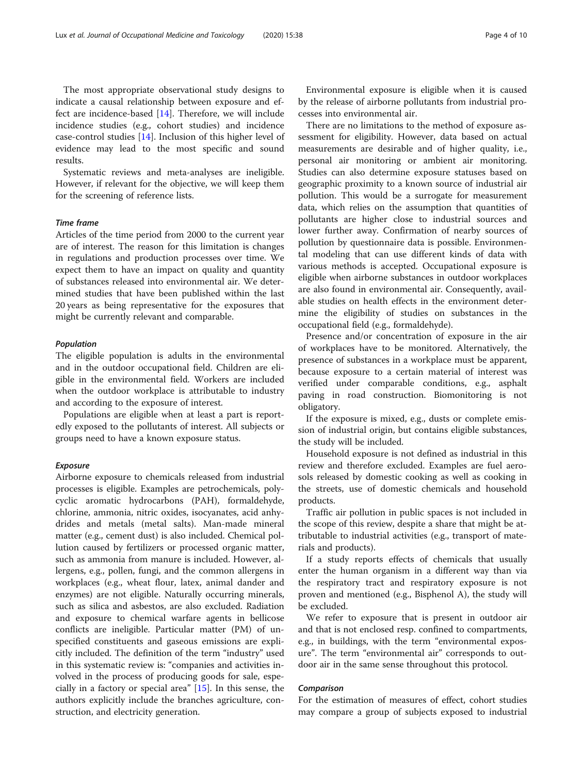The most appropriate observational study designs to indicate a causal relationship between exposure and effect are incidence-based [\[14\]](#page-9-0). Therefore, we will include incidence studies (e.g., cohort studies) and incidence case-control studies [\[14\]](#page-9-0). Inclusion of this higher level of evidence may lead to the most specific and sound results.

Systematic reviews and meta-analyses are ineligible. However, if relevant for the objective, we will keep them for the screening of reference lists.

#### Time frame

Articles of the time period from 2000 to the current year are of interest. The reason for this limitation is changes in regulations and production processes over time. We expect them to have an impact on quality and quantity of substances released into environmental air. We determined studies that have been published within the last 20 years as being representative for the exposures that might be currently relevant and comparable.

#### Population

The eligible population is adults in the environmental and in the outdoor occupational field. Children are eligible in the environmental field. Workers are included when the outdoor workplace is attributable to industry and according to the exposure of interest.

Populations are eligible when at least a part is reportedly exposed to the pollutants of interest. All subjects or groups need to have a known exposure status.

#### Exposure

Airborne exposure to chemicals released from industrial processes is eligible. Examples are petrochemicals, polycyclic aromatic hydrocarbons (PAH), formaldehyde, chlorine, ammonia, nitric oxides, isocyanates, acid anhydrides and metals (metal salts). Man-made mineral matter (e.g., cement dust) is also included. Chemical pollution caused by fertilizers or processed organic matter, such as ammonia from manure is included. However, allergens, e.g., pollen, fungi, and the common allergens in workplaces (e.g., wheat flour, latex, animal dander and enzymes) are not eligible. Naturally occurring minerals, such as silica and asbestos, are also excluded. Radiation and exposure to chemical warfare agents in bellicose conflicts are ineligible. Particular matter (PM) of unspecified constituents and gaseous emissions are explicitly included. The definition of the term "industry" used in this systematic review is: "companies and activities involved in the process of producing goods for sale, especially in a factory or special area" [\[15](#page-9-0)]. In this sense, the authors explicitly include the branches agriculture, construction, and electricity generation.

Environmental exposure is eligible when it is caused by the release of airborne pollutants from industrial processes into environmental air.

There are no limitations to the method of exposure assessment for eligibility. However, data based on actual measurements are desirable and of higher quality, i.e., personal air monitoring or ambient air monitoring. Studies can also determine exposure statuses based on geographic proximity to a known source of industrial air pollution. This would be a surrogate for measurement data, which relies on the assumption that quantities of pollutants are higher close to industrial sources and lower further away. Confirmation of nearby sources of pollution by questionnaire data is possible. Environmental modeling that can use different kinds of data with various methods is accepted. Occupational exposure is eligible when airborne substances in outdoor workplaces are also found in environmental air. Consequently, available studies on health effects in the environment determine the eligibility of studies on substances in the occupational field (e.g., formaldehyde).

Presence and/or concentration of exposure in the air of workplaces have to be monitored. Alternatively, the presence of substances in a workplace must be apparent, because exposure to a certain material of interest was verified under comparable conditions, e.g., asphalt paving in road construction. Biomonitoring is not obligatory.

If the exposure is mixed, e.g., dusts or complete emission of industrial origin, but contains eligible substances, the study will be included.

Household exposure is not defined as industrial in this review and therefore excluded. Examples are fuel aerosols released by domestic cooking as well as cooking in the streets, use of domestic chemicals and household products.

Traffic air pollution in public spaces is not included in the scope of this review, despite a share that might be attributable to industrial activities (e.g., transport of materials and products).

If a study reports effects of chemicals that usually enter the human organism in a different way than via the respiratory tract and respiratory exposure is not proven and mentioned (e.g., Bisphenol A), the study will be excluded.

We refer to exposure that is present in outdoor air and that is not enclosed resp. confined to compartments, e.g., in buildings, with the term "environmental exposure". The term "environmental air" corresponds to outdoor air in the same sense throughout this protocol.

#### Comparison

For the estimation of measures of effect, cohort studies may compare a group of subjects exposed to industrial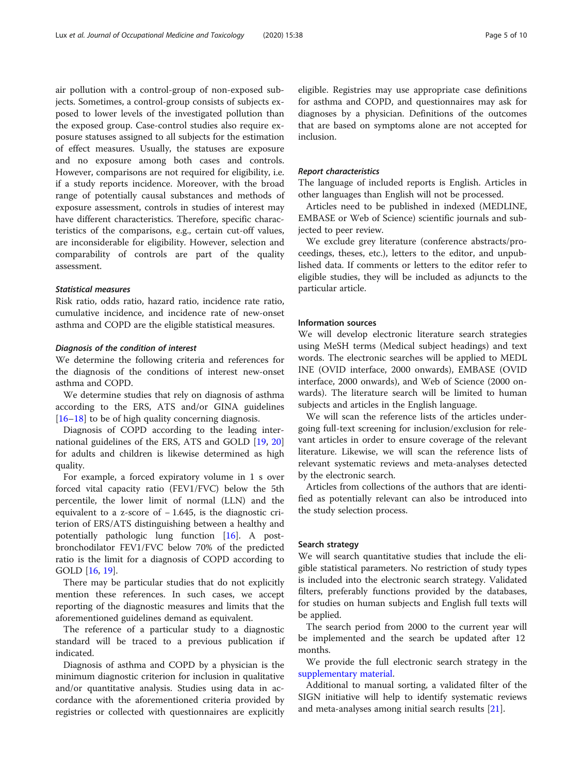air pollution with a control-group of non-exposed subjects. Sometimes, a control-group consists of subjects exposed to lower levels of the investigated pollution than the exposed group. Case-control studies also require exposure statuses assigned to all subjects for the estimation of effect measures. Usually, the statuses are exposure and no exposure among both cases and controls. However, comparisons are not required for eligibility, i.e. if a study reports incidence. Moreover, with the broad range of potentially causal substances and methods of exposure assessment, controls in studies of interest may have different characteristics. Therefore, specific characteristics of the comparisons, e.g., certain cut-off values, are inconsiderable for eligibility. However, selection and comparability of controls are part of the quality assessment.

# Statistical measures

Risk ratio, odds ratio, hazard ratio, incidence rate ratio, cumulative incidence, and incidence rate of new-onset asthma and COPD are the eligible statistical measures.

#### Diagnosis of the condition of interest

We determine the following criteria and references for the diagnosis of the conditions of interest new-onset asthma and COPD.

We determine studies that rely on diagnosis of asthma according to the ERS, ATS and/or GINA guidelines  $[16–18]$  $[16–18]$  $[16–18]$  $[16–18]$  $[16–18]$  to be of high quality concerning diagnosis.

Diagnosis of COPD according to the leading international guidelines of the ERS, ATS and GOLD [\[19,](#page-9-0) [20](#page-9-0)] for adults and children is likewise determined as high quality.

For example, a forced expiratory volume in 1 s over forced vital capacity ratio (FEV1/FVC) below the 5th percentile, the lower limit of normal (LLN) and the equivalent to a z-score of  $-1.645$ , is the diagnostic criterion of ERS/ATS distinguishing between a healthy and potentially pathologic lung function [[16\]](#page-9-0). A postbronchodilator FEV1/FVC below 70% of the predicted ratio is the limit for a diagnosis of COPD according to GOLD [\[16](#page-9-0), [19](#page-9-0)].

There may be particular studies that do not explicitly mention these references. In such cases, we accept reporting of the diagnostic measures and limits that the aforementioned guidelines demand as equivalent.

The reference of a particular study to a diagnostic standard will be traced to a previous publication if indicated.

Diagnosis of asthma and COPD by a physician is the minimum diagnostic criterion for inclusion in qualitative and/or quantitative analysis. Studies using data in accordance with the aforementioned criteria provided by registries or collected with questionnaires are explicitly

eligible. Registries may use appropriate case definitions for asthma and COPD, and questionnaires may ask for diagnoses by a physician. Definitions of the outcomes that are based on symptoms alone are not accepted for inclusion.

#### Report characteristics

The language of included reports is English. Articles in other languages than English will not be processed.

Articles need to be published in indexed (MEDLINE, EMBASE or Web of Science) scientific journals and subjected to peer review.

We exclude grey literature (conference abstracts/proceedings, theses, etc.), letters to the editor, and unpublished data. If comments or letters to the editor refer to eligible studies, they will be included as adjuncts to the particular article.

#### Information sources

We will develop electronic literature search strategies using MeSH terms (Medical subject headings) and text words. The electronic searches will be applied to MEDL INE (OVID interface, 2000 onwards), EMBASE (OVID interface, 2000 onwards), and Web of Science (2000 onwards). The literature search will be limited to human subjects and articles in the English language.

We will scan the reference lists of the articles undergoing full-text screening for inclusion/exclusion for relevant articles in order to ensure coverage of the relevant literature. Likewise, we will scan the reference lists of relevant systematic reviews and meta-analyses detected by the electronic search.

Articles from collections of the authors that are identified as potentially relevant can also be introduced into the study selection process.

#### Search strategy

We will search quantitative studies that include the eligible statistical parameters. No restriction of study types is included into the electronic search strategy. Validated filters, preferably functions provided by the databases, for studies on human subjects and English full texts will be applied.

The search period from 2000 to the current year will be implemented and the search be updated after 12 months.

We provide the full electronic search strategy in the [supplementary material](#page-8-0).

Additional to manual sorting, a validated filter of the SIGN initiative will help to identify systematic reviews and meta-analyses among initial search results [\[21\]](#page-9-0).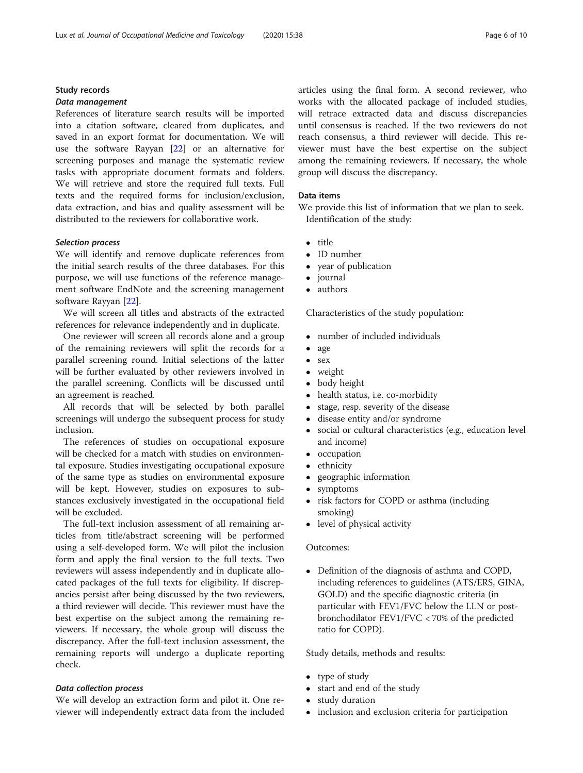# Study records

# Data management

References of literature search results will be imported into a citation software, cleared from duplicates, and saved in an export format for documentation. We will use the software Rayyan [\[22\]](#page-9-0) or an alternative for screening purposes and manage the systematic review tasks with appropriate document formats and folders. We will retrieve and store the required full texts. Full texts and the required forms for inclusion/exclusion, data extraction, and bias and quality assessment will be distributed to the reviewers for collaborative work.

#### Selection process

We will identify and remove duplicate references from the initial search results of the three databases. For this purpose, we will use functions of the reference management software EndNote and the screening management software Rayyan [\[22\]](#page-9-0).

We will screen all titles and abstracts of the extracted references for relevance independently and in duplicate.

One reviewer will screen all records alone and a group of the remaining reviewers will split the records for a parallel screening round. Initial selections of the latter will be further evaluated by other reviewers involved in the parallel screening. Conflicts will be discussed until an agreement is reached.

All records that will be selected by both parallel screenings will undergo the subsequent process for study inclusion.

The references of studies on occupational exposure will be checked for a match with studies on environmental exposure. Studies investigating occupational exposure of the same type as studies on environmental exposure will be kept. However, studies on exposures to substances exclusively investigated in the occupational field will be excluded.

The full-text inclusion assessment of all remaining articles from title/abstract screening will be performed using a self-developed form. We will pilot the inclusion form and apply the final version to the full texts. Two reviewers will assess independently and in duplicate allocated packages of the full texts for eligibility. If discrepancies persist after being discussed by the two reviewers, a third reviewer will decide. This reviewer must have the best expertise on the subject among the remaining reviewers. If necessary, the whole group will discuss the discrepancy. After the full-text inclusion assessment, the remaining reports will undergo a duplicate reporting check.

# Data collection process

We will develop an extraction form and pilot it. One reviewer will independently extract data from the included articles using the final form. A second reviewer, who works with the allocated package of included studies, will retrace extracted data and discuss discrepancies until consensus is reached. If the two reviewers do not reach consensus, a third reviewer will decide. This reviewer must have the best expertise on the subject among the remaining reviewers. If necessary, the whole group will discuss the discrepancy.

#### Data items

We provide this list of information that we plan to seek. Identification of the study:

- title
- $\bullet$  ID number
- year of publication
- journal<br>• authors
- authors

Characteristics of the study population:

- number of included individuals
- age
- $\bullet$  sex
- $\bullet$  weight<br> $\bullet$  body h
- body height
- health status, i.e. co-morbidity
- stage, resp. severity of the disease<br>• disease entity and/or syndrome
- disease entity and/or syndrome
- social or cultural characteristics (e.g., education level and income)
- occupation
- $\bullet$  ethnicity<br> $\bullet$  geograph
- geographic information<br>• symptoms
- symptoms<br>• risk factors
- risk factors for COPD or asthma (including smoking)
- level of physical activity

#### Outcomes:

 Definition of the diagnosis of asthma and COPD, including references to guidelines (ATS/ERS, GINA, GOLD) and the specific diagnostic criteria (in particular with FEV1/FVC below the LLN or postbronchodilator FEV1/FVC < 70% of the predicted ratio for COPD).

Study details, methods and results:

- type of study
- start and end of the study
- study duration
- inclusion and exclusion criteria for participation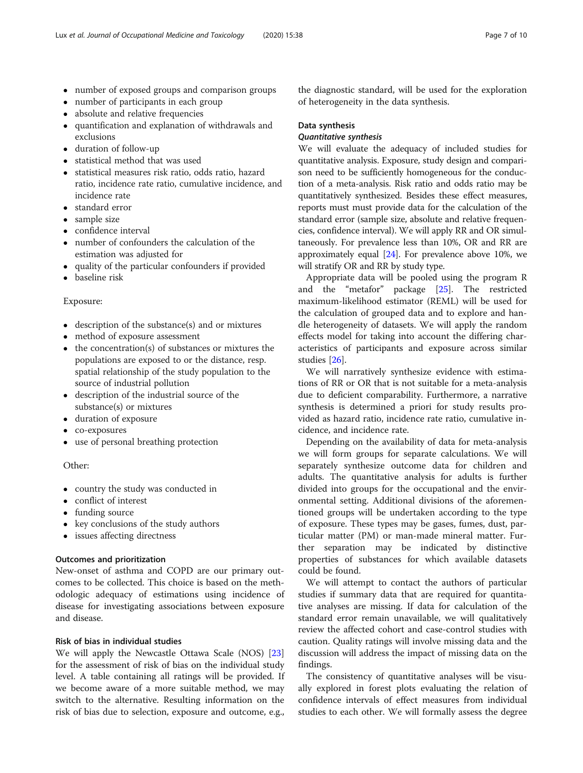- number of exposed groups and comparison groups
- number of participants in each group
- absolute and relative frequencies
- quantification and explanation of withdrawals and exclusions
- duration of follow-up
- statistical method that was used
- statistical measures risk ratio, odds ratio, hazard ratio, incidence rate ratio, cumulative incidence, and incidence rate
- standard error
- sample size
- confidence interval
- number of confounders the calculation of the estimation was adjusted for
- quality of the particular confounders if provided
- baseline risk

# Exposure:

- description of the substance(s) and or mixtures
- method of exposure assessment
- the concentration(s) of substances or mixtures the populations are exposed to or the distance, resp. spatial relationship of the study population to the source of industrial pollution
- description of the industrial source of the substance(s) or mixtures
- duration of exposure
- co-exposures
- use of personal breathing protection

# Other:

- country the study was conducted in
- conflict of interest
- funding source
- key conclusions of the study authors
- issues affecting directness

# Outcomes and prioritization

New-onset of asthma and COPD are our primary outcomes to be collected. This choice is based on the methodologic adequacy of estimations using incidence of disease for investigating associations between exposure and disease.

# Risk of bias in individual studies

We will apply the Newcastle Ottawa Scale (NOS) [[23](#page-9-0)] for the assessment of risk of bias on the individual study level. A table containing all ratings will be provided. If we become aware of a more suitable method, we may switch to the alternative. Resulting information on the risk of bias due to selection, exposure and outcome, e.g.,

the diagnostic standard, will be used for the exploration of heterogeneity in the data synthesis.

# Data synthesis

# Quantitative synthesis

We will evaluate the adequacy of included studies for quantitative analysis. Exposure, study design and comparison need to be sufficiently homogeneous for the conduction of a meta-analysis. Risk ratio and odds ratio may be quantitatively synthesized. Besides these effect measures, reports must must provide data for the calculation of the standard error (sample size, absolute and relative frequencies, confidence interval). We will apply RR and OR simultaneously. For prevalence less than 10%, OR and RR are approximately equal [\[24](#page-9-0)]. For prevalence above 10%, we will stratify OR and RR by study type.

Appropriate data will be pooled using the program R and the "metafor" package [\[25](#page-9-0)]. The restricted maximum-likelihood estimator (REML) will be used for the calculation of grouped data and to explore and handle heterogeneity of datasets. We will apply the random effects model for taking into account the differing characteristics of participants and exposure across similar studies [\[26\]](#page-9-0).

We will narratively synthesize evidence with estimations of RR or OR that is not suitable for a meta-analysis due to deficient comparability. Furthermore, a narrative synthesis is determined a priori for study results provided as hazard ratio, incidence rate ratio, cumulative incidence, and incidence rate.

Depending on the availability of data for meta-analysis we will form groups for separate calculations. We will separately synthesize outcome data for children and adults. The quantitative analysis for adults is further divided into groups for the occupational and the environmental setting. Additional divisions of the aforementioned groups will be undertaken according to the type of exposure. These types may be gases, fumes, dust, particular matter (PM) or man-made mineral matter. Further separation may be indicated by distinctive properties of substances for which available datasets could be found.

We will attempt to contact the authors of particular studies if summary data that are required for quantitative analyses are missing. If data for calculation of the standard error remain unavailable, we will qualitatively review the affected cohort and case-control studies with caution. Quality ratings will involve missing data and the discussion will address the impact of missing data on the findings.

The consistency of quantitative analyses will be visually explored in forest plots evaluating the relation of confidence intervals of effect measures from individual studies to each other. We will formally assess the degree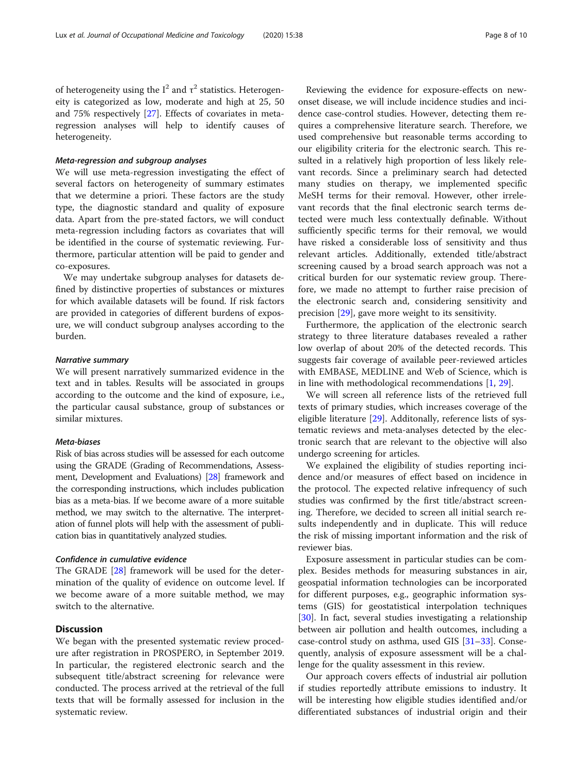of heterogeneity using the  $I^2$  and  $\tau^2$  statistics. Heterogeneity is categorized as low, moderate and high at 25, 50 and 75% respectively [[27\]](#page-9-0). Effects of covariates in metaregression analyses will help to identify causes of heterogeneity.

### Meta-regression and subgroup analyses

We will use meta-regression investigating the effect of several factors on heterogeneity of summary estimates that we determine a priori. These factors are the study type, the diagnostic standard and quality of exposure data. Apart from the pre-stated factors, we will conduct meta-regression including factors as covariates that will be identified in the course of systematic reviewing. Furthermore, particular attention will be paid to gender and co-exposures.

We may undertake subgroup analyses for datasets defined by distinctive properties of substances or mixtures for which available datasets will be found. If risk factors are provided in categories of different burdens of exposure, we will conduct subgroup analyses according to the burden.

#### Narrative summary

We will present narratively summarized evidence in the text and in tables. Results will be associated in groups according to the outcome and the kind of exposure, i.e., the particular causal substance, group of substances or similar mixtures.

# Meta-biases

Risk of bias across studies will be assessed for each outcome using the GRADE (Grading of Recommendations, Assessment, Development and Evaluations) [\[28](#page-9-0)] framework and the corresponding instructions, which includes publication bias as a meta-bias. If we become aware of a more suitable method, we may switch to the alternative. The interpretation of funnel plots will help with the assessment of publication bias in quantitatively analyzed studies.

#### Confidence in cumulative evidence

The GRADE [\[28](#page-9-0)] framework will be used for the determination of the quality of evidence on outcome level. If we become aware of a more suitable method, we may switch to the alternative.

# **Discussion**

We began with the presented systematic review procedure after registration in PROSPERO, in September 2019. In particular, the registered electronic search and the subsequent title/abstract screening for relevance were conducted. The process arrived at the retrieval of the full texts that will be formally assessed for inclusion in the systematic review.

Reviewing the evidence for exposure-effects on newonset disease, we will include incidence studies and incidence case-control studies. However, detecting them requires a comprehensive literature search. Therefore, we used comprehensive but reasonable terms according to our eligibility criteria for the electronic search. This resulted in a relatively high proportion of less likely relevant records. Since a preliminary search had detected many studies on therapy, we implemented specific MeSH terms for their removal. However, other irrelevant records that the final electronic search terms detected were much less contextually definable. Without sufficiently specific terms for their removal, we would have risked a considerable loss of sensitivity and thus relevant articles. Additionally, extended title/abstract screening caused by a broad search approach was not a critical burden for our systematic review group. Therefore, we made no attempt to further raise precision of the electronic search and, considering sensitivity and precision [[29\]](#page-9-0), gave more weight to its sensitivity.

Furthermore, the application of the electronic search strategy to three literature databases revealed a rather low overlap of about 20% of the detected records. This suggests fair coverage of available peer-reviewed articles with EMBASE, MEDLINE and Web of Science, which is in line with methodological recommendations [[1,](#page-8-0) [29](#page-9-0)].

We will screen all reference lists of the retrieved full texts of primary studies, which increases coverage of the eligible literature [[29](#page-9-0)]. Additonally, reference lists of systematic reviews and meta-analyses detected by the electronic search that are relevant to the objective will also undergo screening for articles.

We explained the eligibility of studies reporting incidence and/or measures of effect based on incidence in the protocol. The expected relative infrequency of such studies was confirmed by the first title/abstract screening. Therefore, we decided to screen all initial search results independently and in duplicate. This will reduce the risk of missing important information and the risk of reviewer bias.

Exposure assessment in particular studies can be complex. Besides methods for measuring substances in air, geospatial information technologies can be incorporated for different purposes, e.g., geographic information systems (GIS) for geostatistical interpolation techniques [[30\]](#page-9-0). In fact, several studies investigating a relationship between air pollution and health outcomes, including a case-control study on asthma, used GIS [\[31](#page-9-0)–[33](#page-9-0)]. Consequently, analysis of exposure assessment will be a challenge for the quality assessment in this review.

Our approach covers effects of industrial air pollution if studies reportedly attribute emissions to industry. It will be interesting how eligible studies identified and/or differentiated substances of industrial origin and their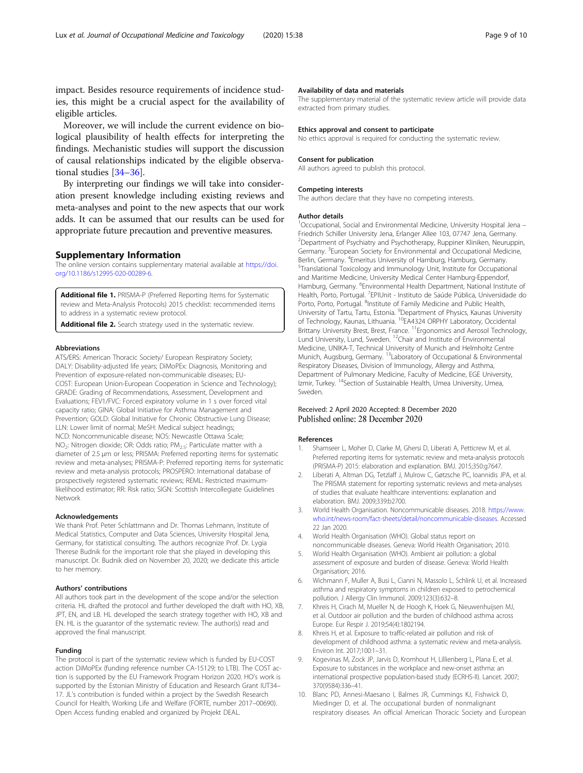<span id="page-8-0"></span>impact. Besides resource requirements of incidence studies, this might be a crucial aspect for the availability of eligible articles.

Moreover, we will include the current evidence on biological plausibility of health effects for interpreting the findings. Mechanistic studies will support the discussion of causal relationships indicated by the eligible observational studies [\[34](#page-9-0)–[36\]](#page-9-0).

By interpreting our findings we will take into consideration present knowledge including existing reviews and meta-analyses and point to the new aspects that our work adds. It can be assumed that our results can be used for appropriate future precaution and preventive measures.

#### Supplementary Information

The online version contains supplementary material available at [https://doi.](https://doi.org/10.1186/s12995-020-00289-6) [org/10.1186/s12995-020-00289-6.](https://doi.org/10.1186/s12995-020-00289-6)

Additional file 1. PRISMA-P (Preferred Reporting Items for Systematic review and Meta-Analysis Protocols) 2015 checklist: recommended items to address in a systematic review protocol.

Additional file 2. Search strategy used in the systematic review.

#### Abbreviations

ATS/ERS: American Thoracic Society/ European Respiratory Society; DALY: Disability-adjusted life years; DiMoPEx: Diagnosis, Monitoring and Prevention of exposure-related non-communicable diseases; EU-COST: European Union-European Cooperation in Science and Technology); GRADE: Grading of Recommendations, Assessment, Development and Evaluations; FEV1/FVC: Forced expiratory volume in 1 s over forced vital capacity ratio; GINA: Global Initiative for Asthma Management and Prevention; GOLD: Global Initiative for Chronic Obstructive Lung Disease; LLN: Lower limit of normal; MeSH: Medical subject headings; NCD: Noncommunicable disease; NOS: Newcastle Ottawa Scale; NO<sub>2</sub>: Nitrogen dioxide; OR: Odds ratio; PM<sub>2.5</sub>: Particulate matter with a diameter of 2.5 μm or less; PRISMA: Preferred reporting items for systematic review and meta-analyses; PRISMA-P: Preferred reporting items for systematic review and meta-analysis protocols; PROSPERO: International database of prospectively registered systematic reviews; REML: Restricted maximumlikelihood estimator; RR: Risk ratio; SIGN: Scottish Intercollegiate Guidelines Network

#### Acknowledgements

We thank Prof. Peter Schlattmann and Dr. Thomas Lehmann, Institute of Medical Statistics, Computer and Data Sciences, University Hospital Jena, Germany, for statistical consulting. The authors recognize Prof. Dr. Lygia Therese Budnik for the important role that she played in developing this manuscript. Dr. Budnik died on November 20, 2020; we dedicate this article to her memory.

#### Authors' contributions

All authors took part in the development of the scope and/or the selection criteria. HL drafted the protocol and further developed the draft with HO, XB, JPT, EN, and LB. HL developed the search strategy together with HO, XB and EN. HL is the guarantor of the systematic review. The author(s) read and approved the final manuscript.

#### Funding

The protocol is part of the systematic review which is funded by EU-COST action DiMoPEx (funding reference number CA-15129; to LTB). The COST action is supported by the EU Framework Program Horizon 2020. HO's work is supported by the Estonian Ministry of Education and Research Grant IUT34– 17. JL's contribution is funded within a project by the Swedish Research Council for Health, Working Life and Welfare (FORTE, number 2017–00690). Open Access funding enabled and organized by Projekt DEAL.

#### Availability of data and materials

The supplementary material of the systematic review article will provide data extracted from primary studies.

#### Ethics approval and consent to participate

No ethics approval is required for conducting the systematic review.

#### Consent for publication

All authors agreed to publish this protocol.

#### Competing interests

The authors declare that they have no competing interests.

#### Author details

1 Occupational, Social and Environmental Medicine, University Hospital Jena – Friedrich Schiller University Jena, Erlanger Allee 103, 07747 Jena, Germany. 2 Department of Psychiatry and Psychotherapy, Ruppiner Kliniken, Neuruppin, Germany. <sup>3</sup> European Society for Environmental and Occupational Medicine, Berlin, Germany. <sup>4</sup>Emeritus University of Hamburg, Hamburg, Germany.<br><sup>5</sup>Translational Toxicology and Immunology Unit Jostitute for Occupatio <sup>5</sup>Translational Toxicology and Immunology Unit, Institute for Occupational and Maritime Medicine, University Medical Center Hamburg-Eppendorf, Hamburg, Germany. <sup>6</sup>Environmental Health Department, National Institute of Health, Porto, Portugal. <sup>7</sup>EPIUnit - Instituto de Saúde Pública, Universidade do Porto, Porto, Portugal. <sup>8</sup>Institute of Family Medicine and Public Health University of Tartu, Tartu, Estonia. <sup>9</sup>Department of Physics, Kaunas University of Technology, Kaunas, Lithuania. 10EA4324 ORPHY Laboratory, Occidental Brittany University Brest, Brest, France. <sup>11</sup>Ergonomics and Aerosol Technology, Lund University, Lund, Sweden. 12Chair and Institute of Environmental Medicine, UNIKA-T, Technical University of Munich and Helmholtz Centre Munich, Augsburg, Germany. 13Laboratory of Occupational & Environmental Respiratory Diseases, Division of Immunology, Allergy and Asthma, Department of Pulmonary Medicine, Faculty of Medicine, EGE University, Izmir, Turkey. <sup>14</sup>Section of Sustainable Health, Umea University, Umea, Sweden.

#### Received: 2 April 2020 Accepted: 8 December 2020 Published online: 28 December 2020

#### References

- Shamseer L, Moher D, Clarke M, Ghersi D, Liberati A, Petticrew M, et al. Preferred reporting items for systematic review and meta-analysis protocols (PRISMA-P) 2015: elaboration and explanation. BMJ. 2015;350:g7647.
- 2. Liberati A, Altman DG, Tetzlaff J, Mulrow C, Gøtzsche PC, Ioannidis JPA, et al. The PRISMA statement for reporting systematic reviews and meta-analyses of studies that evaluate healthcare interventions: explanation and elaboration. BMJ. 2009;339:b2700.
- 3. World Health Organisation. Noncommunicable diseases. 2018. [https://www.](https://www.who.int/news-room/fact-sheets/detail/noncommunicable-diseases) [who.int/news-room/fact-sheets/detail/noncommunicable-diseases](https://www.who.int/news-room/fact-sheets/detail/noncommunicable-diseases). Accessed 22 Jan 2020.
- 4. World Health Organisation (WHO). Global status report on noncommunicable diseases. Geneva: World Health Organisation; 2010.
- 5. World Health Organisation (WHO). Ambient air pollution: a global assessment of exposure and burden of disease. Geneva: World Health Organisation; 2016.
- 6. Wichmann F, Muller A, Busi L, Cianni N, Massolo L, Schlink U, et al. Increased asthma and respiratory symptoms in children exposed to petrochemical pollution. J Allergy Clin Immunol. 2009;123(3):632–8.
- 7. Khreis H, Cirach M, Mueller N, de Hoogh K, Hoek G, Nieuwenhuijsen MJ, et al. Outdoor air pollution and the burden of childhood asthma across Europe. Eur Respir J. 2019;54(4):1802194.
- Khreis H, et al. Exposure to traffic-related air pollution and risk of development of childhood asthma: a systematic review and meta-analysis. Environ Int. 2017;100:1–31.
- 9. Kogevinas M, Zock JP, Jarvis D, Kromhout H, Lillienberg L, Plana E, et al. Exposure to substances in the workplace and new-onset asthma: an international prospective population-based study (ECRHS-II). Lancet. 2007; 370(9584):336–41.
- 10. Blanc PD, Annesi-Maesano I, Balmes JR, Cummings KJ, Fishwick D, Miedinger D, et al. The occupational burden of nonmalignant respiratory diseases. An official American Thoracic Society and European